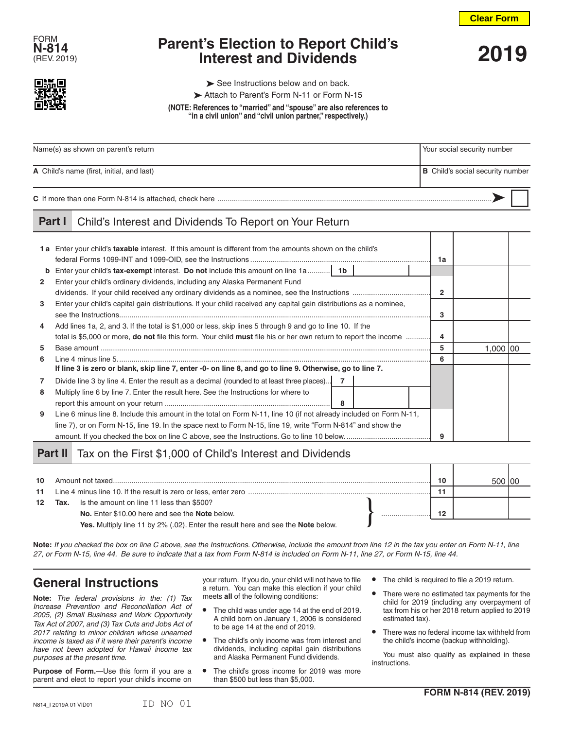**Clear Form**



# **Parent's Election to Report Child's Interest and Dividends**<br> **Interest and Dividends** 2019



 $\triangleright$  See Instructions below and on back.

Attach to Parent's Form N-11 or Form N-15

**(NOTE: References to "married" and "spouse" are also references to "in a civil union" and "civil union partner," respectively.)**

| Name(s) as shown on parent's return       | Your social security number             |  |  |  |
|-------------------------------------------|-----------------------------------------|--|--|--|
| A Child's name (first, initial, and last) | <b>B</b> Child's social security number |  |  |  |
|                                           |                                         |  |  |  |

#### **Part I** Child's Interest and Dividends To Report on Your Return

|              | 1a Enter your child's taxable interest. If this amount is different from the amounts shown on the child's                      | 1a             |           |  |
|--------------|--------------------------------------------------------------------------------------------------------------------------------|----------------|-----------|--|
| b            | <b>Enter your child's tax-exempt interest. Do not include this amount on line 1a</b> 1b                                        |                |           |  |
| $\mathbf{2}$ | Enter your child's ordinary dividends, including any Alaska Permanent Fund                                                     |                |           |  |
|              |                                                                                                                                | $\overline{2}$ |           |  |
| 3            | Enter your child's capital gain distributions. If your child received any capital gain distributions as a nominee,             |                |           |  |
|              |                                                                                                                                | 3              |           |  |
| 4            | Add lines 1a, 2, and 3. If the total is \$1,000 or less, skip lines 5 through 9 and go to line 10. If the                      |                |           |  |
|              | total is \$5,000 or more, <b>do not</b> file this form. Your child <b>must</b> file his or her own return to report the income | 4              |           |  |
| 5            |                                                                                                                                | 5              | 1.000 100 |  |
| 6.           |                                                                                                                                | 6              |           |  |
|              | If line 3 is zero or blank, skip line 7, enter -0- on line 8, and go to line 9. Otherwise, go to line 7.                       |                |           |  |
|              | Divide line 3 by line 4. Enter the result as a decimal (rounded to at least three places) 7                                    |                |           |  |
| 8            | Multiply line 6 by line 7. Enter the result here. See the Instructions for where to                                            |                |           |  |
|              | - 8                                                                                                                            |                |           |  |
| 9            | Line 6 minus line 8. Include this amount in the total on Form N-11, line 10 (if not already included on Form N-11,             |                |           |  |
|              | line 7), or on Form N-15, line 19. In the space next to Form N-15, line 19, write "Form N-814" and show the                    |                |           |  |
|              |                                                                                                                                | 9              |           |  |

## Part II Tax on the First \$1,000 of Child's Interest and Dividends

| 10 <sup>1</sup> |      | Amount not taxed                                                                 |  | 10 |  |
|-----------------|------|----------------------------------------------------------------------------------|--|----|--|
| 11              |      |                                                                                  |  |    |  |
| 12              | Tax. | Is the amount on line 11 less than \$500?                                        |  |    |  |
|                 |      | No. Enter \$10.00 here and see the Note below.                                   |  | 10 |  |
|                 |      | Yes. Multiply line 11 by 2% (.02). Enter the result here and see the Note below. |  |    |  |

**Note:** *If you checked the box on line C above, see the Instructions. Otherwise, include the amount from line 12 in the tax you enter on Form N-11, line 27, or Form N-15, line 44. Be sure to indicate that a tax from Form N-814 is included on Form N-11, line 27, or Form N-15, line 44.*

# **General Instructions**

**Note:** *The federal provisions in the: (1) Tax Increase Prevention and Reconciliation Act of 2005, (2) Small Business and Work Opportunity Tax Act of 2007, and (3) Tax Cuts and Jobs Act of 2017 relating to minor children whose unearned income is taxed as if it were their parent's income have not been adopted for Hawaii income tax purposes at the present time.*

**Purpose of Form.**—Use this form if you are a parent and elect to report your child's income on

your return. If you do, your child will not have to file a return. You can make this election if your child meets **all** of the following conditions:

- **•** The child was under age 14 at the end of 2019. A child born on January 1, 2006 is considered to be age 14 at the end of 2019.
- **•** The child's only income was from interest and dividends, including capital gain distributions and Alaska Permanent Fund dividends.
- **•** The child's gross income for 2019 was more than \$500 but less than \$5,000.
- **•** The child is required to file a 2019 return.
- **•** There were no estimated tax payments for the child for 2019 (including any overpayment of tax from his or her 2018 return applied to 2019 estimated tax).
- **•** There was no federal income tax withheld from the child's income (backup withholding).

You must also qualify as explained in these instructions.